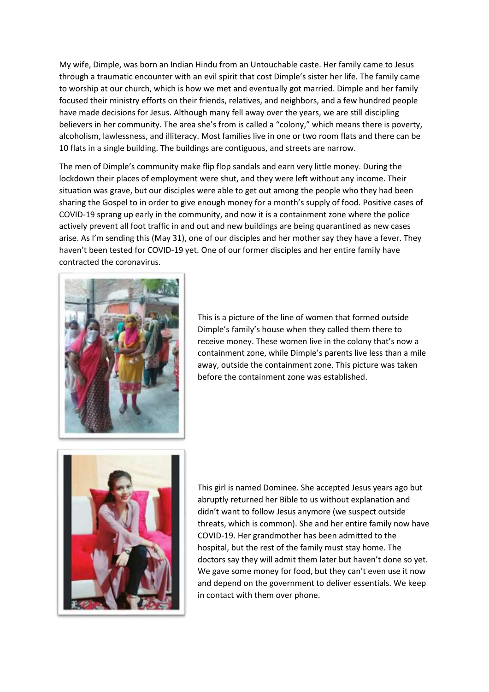My wife, Dimple, was born an Indian Hindu from an Untouchable caste. Her family came to Jesus through a traumatic encounter with an evil spirit that cost Dimple's sister her life. The family came to worship at our church, which is how we met and eventually got married. Dimple and her family focused their ministry efforts on their friends, relatives, and neighbors, and a few hundred people have made decisions for Jesus. Although many fell away over the years, we are still discipling believers in her community. The area she's from is called a "colony," which means there is poverty, alcoholism, lawlessness, and illiteracy. Most families live in one or two room flats and there can be 10 flats in a single building. The buildings are contiguous, and streets are narrow.

The men of Dimple's community make flip flop sandals and earn very little money. During the lockdown their places of employment were shut, and they were left without any income. Their situation was grave, but our disciples were able to get out among the people who they had been sharing the Gospel to in order to give enough money for a month's supply of food. Positive cases of COVID-19 sprang up early in the community, and now it is a containment zone where the police actively prevent all foot traffic in and out and new buildings are being quarantined as new cases arise. As I'm sending this (May 31), one of our disciples and her mother say they have a fever. They haven't been tested for COVID-19 yet. One of our former disciples and her entire family have contracted the coronavirus.



This is a picture of the line of women that formed outside Dimple's family's house when they called them there to receive money. These women live in the colony that's now a containment zone, while Dimple's parents live less than a mile away, outside the containment zone. This picture was taken before the containment zone was established.



This girl is named Dominee. She accepted Jesus years ago but abruptly returned her Bible to us without explanation and didn't want to follow Jesus anymore (we suspect outside threats, which is common). She and her entire family now have COVID-19. Her grandmother has been admitted to the hospital, but the rest of the family must stay home. The doctors say they will admit them later but haven't done so yet. We gave some money for food, but they can't even use it now and depend on the government to deliver essentials. We keep in contact with them over phone.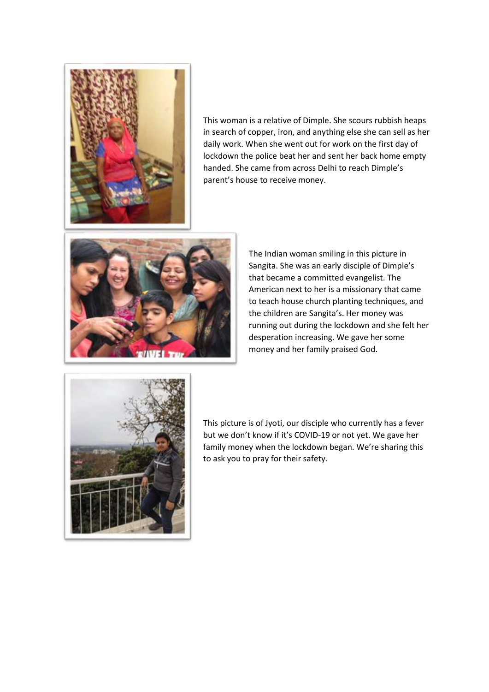

This woman is a relative of Dimple. She scours rubbish heaps in search of copper, iron, and anything else she can sell as her daily work. When she went out for work on the first day of lockdown the police beat her and sent her back home empty handed. She came from across Delhi to reach Dimple's parent's house to receive money.



The Indian woman smiling in this picture in Sangita. She was an early disciple of Dimple's that became a committed evangelist. The American next to her is a missionary that came to teach house church planting techniques, and the children are Sangita's. Her money was running out during the lockdown and she felt her desperation increasing. We gave her some money and her family praised God.



This picture is of Jyoti, our disciple who currently has a fever but we don't know if it's COVID-19 or not yet. We gave her family money when the lockdown began. We're sharing this to ask you to pray for their safety.